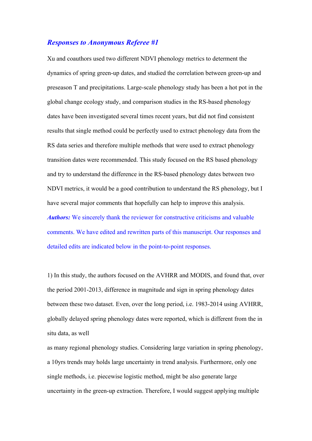## *Responses to Anonymous Referee #1*

Xu and coauthors used two different NDVI phenology metrics to determent the dynamics of spring green-up dates, and studied the correlation between green-up and preseason T and precipitations. Large-scale phenology study has been a hot pot in the global change ecology study, and comparison studies in the RS-based phenology dates have been investigated several times recent years, but did not find consistent results that single method could be perfectly used to extract phenology data from the RS data series and therefore multiple methods that were used to extract phenology transition dates were recommended. This study focused on the RS based phenology and try to understand the difference in the RS-based phenology dates between two NDVI metrics, it would be a good contribution to understand the RS phenology, but I have several major comments that hopefully can help to improve this analysis. *Authors:* We sincerely thank the reviewer for constructive criticisms and valuable comments. We have edited and rewritten parts of this manuscript. Our responses and detailed edits are indicated below in the point-to-point responses.

1) In this study, the authors focused on the AVHRR and MODIS, and found that, over the period 2001-2013, difference in magnitude and sign in spring phenology dates between these two dataset. Even, over the long period, i.e. 1983-2014 using AVHRR, globally delayed spring phenology dates were reported, which is different from the in situ data, as well

as many regional phenology studies. Considering large variation in spring phenology, a 10yrs trends may holds large uncertainty in trend analysis. Furthermore, only one single methods, i.e. piecewise logistic method, might be also generate large uncertainty in the green-up extraction. Therefore, I would suggest applying multiple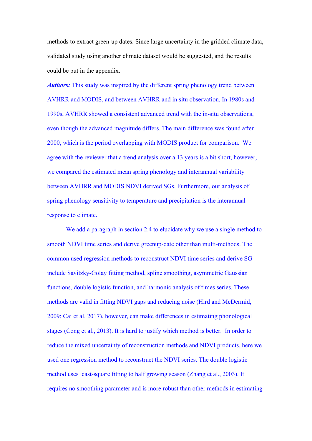methods to extract green-up dates. Since large uncertainty in the gridded climate data, validated study using another climate dataset would be suggested, and the results could be put in the appendix.

*Authors:* This study was inspired by the different spring phenology trend between AVHRR and MODIS, and between AVHRR and in situ observation. In 1980s and 1990s, AVHRR showed a consistent advanced trend with the in-situ observations, even though the advanced magnitude differs. The main difference was found after 2000, which is the period overlapping with MODIS product for comparison. We agree with the reviewer that a trend analysis over a 13 years is a bit short, however, we compared the estimated mean spring phenology and interannual variability between AVHRR and MODIS NDVI derived SGs. Furthermore, our analysis of spring phenology sensitivity to temperature and precipitation is the interannual response to climate.

We add a paragraph in section 2.4 to elucidate why we use a single method to smooth NDVI time series and derive greenup-date other than multi-methods. The common used regression methods to reconstruct NDVI time series and derive SG include Savitzky-Golay fitting method, spline smoothing, asymmetric Gaussian functions, double logistic function, and harmonic analysis of times series. These methods are valid in fitting NDVI gaps and reducing noise (Hird and McDermid, 2009; Cai et al. 2017), however, can make differences in estimating phonological stages (Cong et al., 2013). It is hard to justify which method is better. In order to reduce the mixed uncertainty of reconstruction methods and NDVI products, here we used one regression method to reconstruct the NDVI series. The double logistic method uses least-square fitting to half growing season (Zhang et al., 2003). It requires no smoothing parameter and is more robust than other methods in estimating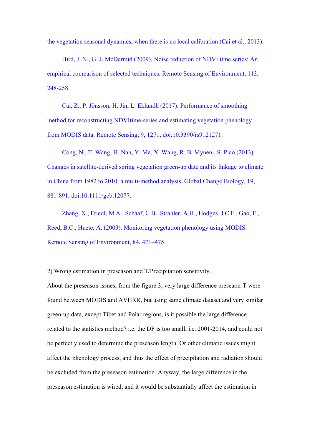the vegetation seasonal dynamics, when there is no local calibration (Cai et al., 2013).

Hird, J. N., G. J. McDermid (2009). Noise reduction of NDVI time series: An empirical comparison of selected techniques. Remote Sensing of Environment, 113, 248-258.

Cai, Z., P. Jönsson, H. Jin, L. Eklundh (2017). Performance of smoothing method for reconstructing NDVItime-series and estimating vegetation phenology from MODIS data. Remote Sensing, 9, 1271, doi:10.3390/rs9121271.

Cong, N., T. Wang, H. Nan, Y. Ma, X. Wang, R. B. Myneni, S. Piao (2013). Changes in satellite-derived spring vegetation green-up date and its linkage to climate in China from 1982 to 2010: a multi-method analysis. Global Change Biology, 19, 881-891, doi:10.1111/gcb.12077.

Zhang, X., Friedl, M.A., Schaaf, C.B., Strahler, A.H., Hodges, J.C.F., Gao, F., Reed, B.C., Huete, A. (2003). Monitoring vegetation phenology using MODIS. Remote Sensing of Environment, 84, 471–475.

2) Wrong estimation in preseason and T/Precipitation sensitivity.

About the preseason issues, from the figure 3, very large difference preseaon-T were found between MODIS and AVHRR, but using same climate dataset and very similar green-up data, except Tibet and Polar regions, is it possible the large difference related to the statistics method? i.e. the DF is too small, i.e. 2001-2014, and could not be perfectly used to determine the preseason length. Or other climatic issues might affect the phenology process, and thus the effect of precipitation and radiation should be excluded from the preseason estimation. Anyway, the large difference in the preseason estimation is wired, and it would be substantially affect the estimation in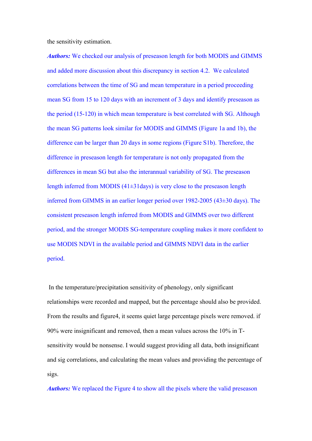the sensitivity estimation.

*Authors:* We checked our analysis of preseason length for both MODIS and GIMMS and added more discussion about this discrepancy in section 4.2.We calculated correlations between the time of SG and mean temperature in a period proceeding mean SG from 15 to 120 days with an increment of 3 days and identify preseason as the period (15-120) in which mean temperature is best correlated with SG. Although the mean SG patterns look similar for MODIS and GIMMS (Figure 1a and 1b), the difference can be larger than 20 days in some regions (Figure S1b). Therefore, the difference in preseason length for temperature is not only propagated from the differences in mean SG but also the interannual variability of SG. The preseason length inferred from MODIS (41±31days) is very close to the preseason length inferred from GIMMS in an earlier longer period over 1982-2005 (43±30 days). The consistent preseason length inferred from MODIS and GIMMS over two different period, and the stronger MODIS SG-temperature coupling makes it more confident to use MODIS NDVI in the available period and GIMMS NDVI data in the earlier period.

In the temperature/precipitation sensitivity of phenology, only significant relationships were recorded and mapped, but the percentage should also be provided. From the results and figure4, it seems quiet large percentage pixels were removed. if 90% were insignificant and removed, then a mean values across the 10% in Tsensitivity would be nonsense. I would suggest providing all data, both insignificant and sig correlations, and calculating the mean values and providing the percentage of sigs.

*Authors:* We replaced the Figure 4 to show all the pixels where the valid preseason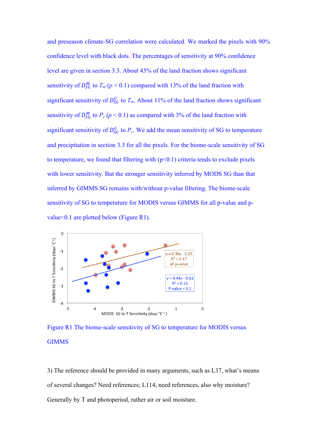and preseason climate-SG correlation were calculated. We marked the pixels with 90% confidence level with black dots. The percentages of sensitivity at 90% confidence level are given in section 3.3. About 43% of the land fraction shows significant sensitivity of  $D_{SG}^{M}$  to  $T_m$  ( $p < 0.1$ ) compared with 13% of the land fraction with significant sensitivity of  $D_{SG}^G$  to  $T_m$ . About 11% of the land fraction shows significant sensitivity of  $D_{SG}^{M}$  to  $P_c$  ( $p < 0.1$ ) as compared with 3% of the land fraction with significant sensitivity of  $D_{SG}^G$  to  $P_c$ . We add the mean sensitivity of SG to temperature and precipitation in section 3.3 for all the pixels. For the biome-scale sensitivity of SG to temperature, we found that filtering with  $(p<0.1)$  criteria tends to exclude pixels with lower sensitivity. But the stronger sensitivity inferred by MODS SG than that inferred by GIMMS SG remains with/without p-value filtering. The biome-scale sensitivity of SG to temperature for MODIS versus GIMMS for all p-value and pvalue<0.1 are plotted below (Figure R1).



Figure R1 The biome-scale sensitivity of SG to temperature for MODIS versus **GIMMS** 

3) The reference should be provided in many arguments, such as L37, what's means of several changes? Need references; L114, need references, also why moisture? Generally by T and photoperiod, rather air or soil moisture.